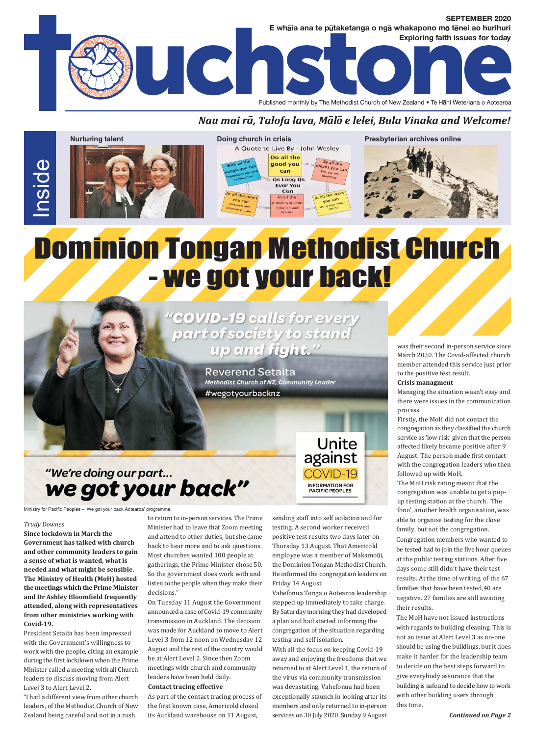

#### Nau mai rā, Talofa lava, Mālō e lelei, Bula Vinaka and Welcome!







Presbyterian archives online

# Dominion Tongan Methodist Church - we got your back!

"COVID-19 calls for every part of society to stand up and fight."

> **Reverend Setaita** Methodist Church of NZ, Community Leader #wegotyourbacknz

was their second in-person service since March 2020. The Covid-affected church member attended this service just prior to the positive test result.

#### **Crisis managment**

Managing the situation wasn't easy and there were issues in the communication process.

Firstly, the MoH did not contact the congregation as they classified the church service as 'low risk' given that the person affected likely became positive after 9 August. The person made first contact with the congregation leaders who then followed up with MoH.

The MoH risk rating meant that the congregation was unable to get a popup testing station at the church. 'The fono', another health organisation, was able to organise testing for the close family, but not the congregation.

Congregation members who wanted to be tested had to join the five hour queues at the public testing stations. After five days some still didn't have their test results. At the time of writing, of the 67 families that have been tested, 40 are negative. 27 families are still awaiting their results.

The MoH have not issued instructions with regards to building cleaning. This is not an issue at Alert Level 3 as no-one should be using the buildings, but it does make it harder for the leadership team to decide on the best steps forward to give everybody assurance that the building is safe and to decide how to work with other building users through this time.

### "We're doing our part... we got your back"

Ministry for Pacific Peoples - 'We got your back Aotearoa' programme

#### **Trudy Downes**

Since lockdown in March the Government has talked with church and other community leaders to gain a sense of what is wanted, what is needed and what might be sensible. The Ministry of Health (MoH) hosted the meetings which the Prime Minister and Dr Ashley Bloomfield frequently attended, along with representatives from other ministries working with Covid-19.

President Setaita has been impressed with the Government's willingness to work with the people, citing an example during the first lockdown when the Prime Minister called a meeting with all Church leaders to discuss moving from Alert Level 3 to Alert Level 2.

"I had a different view from other church leaders, of the Methodist Church of New Zealand being careful and not in a rush

to return to in-person services. The Prime Minister had to leave that Zoom meeting and attend to other duties, but she came back to hear more and to ask questions. Most churches wanted 100 people at gatherings, the Prime Minister chose 50. So the government does work with and listen to the people when they make their decisions."

On Tuesday 11 August the Government announced a case of Covid-19 community transmission in Auckland. The decision was made for Auckland to move to Alert Level 3 from 12 noon on Wednesday 12 August and the rest of the country would be at Alert Level 2. Since then Zoom meetings with church and community leaders have been held daily. **Contact tracing effective** 

As part of the contact tracing process of the first known case, Americold closed its Auckland warehouse on 11 August,

sending staff into self isolation and for testing. A second worker received positive test results two days later on Thursday 13 August. That Americold employee was a member of Makamoūi, the Dominion Tongan Methodist Church. He informed the congregation leaders on Friday 14 August.

Unite

against

**INFORMATION FOR PACIFIC PEOPLES** 

Vahefonua Tonga o Aotearoa leadership stepped up immediately to take charge. By Saturday morning they had developed a plan and had started informing the congregation of the situation regarding testing and self isolation.

With all the focus on keeping Covid-19 away and enjoying the freedoms that we returned to at Alert Level 1, the return of the virus via community transmission was devastating. Vahefonua had been exceptionally staunch in looking after its members and only returned to in-person services on 30 July 2020. Sunday 9 August

**Continued on Page 2**